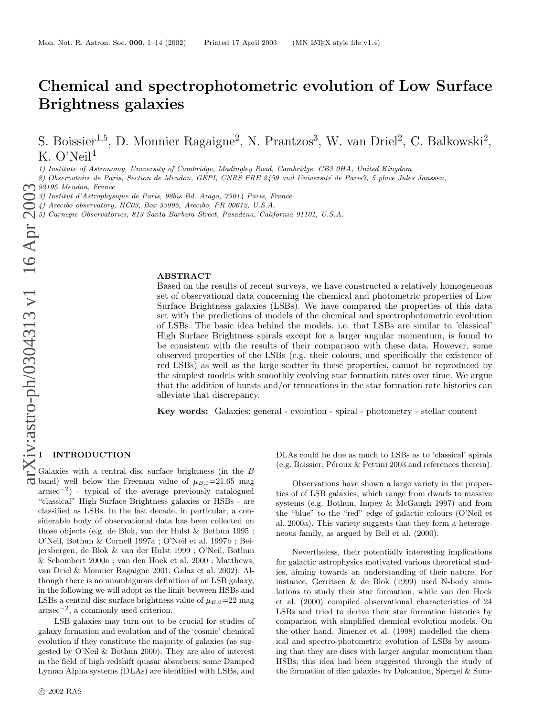# Chemical and spectrophotometric evolution of Low Surface Brightness galaxies

S. Boissier<sup>1,5</sup>, D. Monnier Ragaigne<sup>2</sup>, N. Prantzos<sup>3</sup>, W. van Driel<sup>2</sup>, C. Balkowski<sup>2</sup>, K. O'Neil 4

1) Institute of Astronomy, University of Cambridge, Madingley Road, Cambridge. CB3 0HA, United Kingdom.

2) Observatoire de Paris, Section de Meudon, GEPI, CNRS FRE 2459 and Université de Paris7, 5 place Jules Janssen,  $\bigcap$  92195 Meudon, France

3) Institut d'Astrophysique de Paris, 98bis Bd. Arago, 75014 Paris, France

4) Arecibo observatory, HC03, Box 53995, Arecibo, PR 00612, U.S.A.

5) Carnegie Observatories, 813 Santa Barbara Street, Pasadena, California 91101, U.S.A.

#### ABSTRACT

Based on the results of recent surveys, we have constructed a relatively homogeneous set of observational data concerning the chemical and photometric properties of Low Surface Brightness galaxies (LSBs). We have compared the properties of this data set with the predictions of models of the chemical and spectrophotometric evolution of LSBs. The basic idea behind the models, i.e. that LSBs are similar to 'classical' High Surface Brightness spirals except for a larger angular momentum, is found to be consistent with the results of their comparison with these data. However, some observed properties of the LSBs (e.g. their colours, and specifically the existence of red LSBs) as well as the large scatter in these properties, cannot be reproduced by the simplest models with smoothly evolving star formation rates over time. We argue that the addition of bursts and/or truncations in the star formation rate histories can alleviate that discrepancy.

Key words: Galaxies: general - evolution - spiral - photometry - stellar content

## 1 INTRODUCTION

Galaxies with a central disc surface brightness (in the B band) well below the Freeman value of  $\mu_{B,0} = 21.65$  mag arcsec − 2 ) - typical of the average previously catalogued "classical" High Surface Brightness galaxies or HSBs - are classified as LSBs. In the last decade, in particular, a considerable body of observational data has been collected on those objects (e.g. de Blok, van der Hulst & Bothun 1995 ; O'Neil, Bothun & Cornell 1997a ; O'Neil et al. 1997b ; Beijersbergen, de Blok & van der Hulst 1999 ; O'Neil, Bothun & Schombert 2000a ; van den Hoek et al. 2000 ; Matthews, van Driel & Monnier Ragaigne 2001; Galaz et al. 2002). Although there is no unambiguous definition of an LSB galaxy, in the following we will adopt as the limit between HSBs and LSBs a central disc surface brightness value of  $\mu_{B,0}$ =22 mag arcsec − 2 , a commonly used criterion.

LSB galaxies may turn out to be crucial for studies of galaxy formation and evolution and of the 'cosmic' chemical evolution if they constitute the majority of galaxies (as suggested by O'Neil & Bothun 2000). They are also of interest in the field of high redshift quasar absorbers: some Damped Lyman Alpha systems (DLAs) are identified with LSBs, and DLAs could be due as much to LSBs as to 'classical' spirals (e.g. Boissier, Péroux  $&$  Pettini 2003 and references therein).

Observations have shown a large variety in the properties of of LSB galaxies, which range from dwarfs to massive systems (e.g. Bothun, Impey & McGaugh 1997) and from the "blue" to the "red" edge of galactic colours (O'Neil et al. 2000a). This variety suggests that they form a heterogeneous family, as argued by Bell et al. (2000).

Nevertheless, their potentially interesting implication s for galactic astrophysics motivated various theoretical studies, aiming towards an understanding of their nature. For instance, Gerritsen & de Blok (1999) used N-body simulations to study their star formation, while van den Hoek et al. (2000) compiled observational characteristics of 24 LSBs and tried to derive their star formation histories by comparison with simplified chemical evolution models. On the other hand, Jimenez et al. (1998) modelled the chemical and spectro-photometric evolution of LSBs by assuming that they are discs with larger angular momentum than HSBs; this idea had been suggested through the study of the formation of disc galaxies by Dalcanton, Spergel & Sum-

<sup>92195</sup> Meudon, France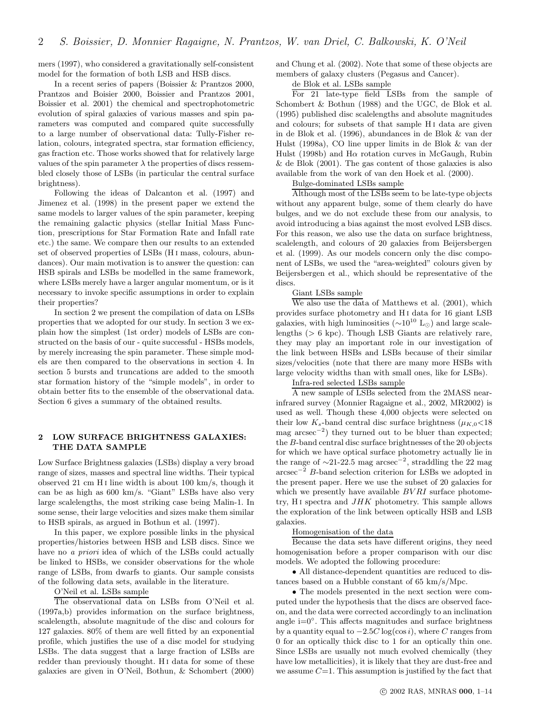mers (1997), who considered a gravitationally self-consistent model for the formation of both LSB and HSB discs.

In a recent series of papers (Boissier & Prantzos 2000, Prantzos and Boisier 2000, Boissier and Prantzos 2001, Boissier et al. 2001) the chemical and spectrophotometric evolution of spiral galaxies of various masses and spin parameters was computed and compared quite successfully to a large number of observational data: Tully-Fisher relation, colours, integrated spectra, star formation efficiency, gas fraction etc. Those works showed that for relatively large values of the spin parameter  $\lambda$  the properties of discs ressembled closely those of LSBs (in particular the central surface brightness).

Following the ideas of Dalcanton et al. (1997) and Jimenez et al. (1998) in the present paper we extend the same models to larger values of the spin parameter, keeping the remaining galactic physics (stellar Initial Mass Function, prescriptions for Star Formation Rate and Infall rate etc.) the same. We compare then our results to an extended set of observed properties of LSBs (H<sub>I</sub> mass, colours, abundances). Our main motivation is to answer the question: can HSB spirals and LSBs be modelled in the same framework, where LSBs merely have a larger angular momentum, or is it necessary to invoke specific assumptions in order to explain their properties?

In section 2 we present the compilation of data on LSBs properties that we adopted for our study. In section 3 we explain how the simplest (1st order) models of LSBs are constructed on the basis of our - quite successful - HSBs models, by merely increasing the spin parameter. These simple models are then compared to the observations in section 4. In section 5 bursts and truncations are added to the smooth star formation history of the "simple models", in order to obtain better fits to the ensemble of the observational data. Section 6 gives a summary of the obtained results.

## 2 LOW SURFACE BRIGHTNESS GALAXIES: THE DATA SAMPLE

Low Surface Brightness galaxies (LSBs) display a very broad range of sizes, masses and spectral line widths. Their typical observed 21 cm H i line width is about 100 km/s, though it can be as high as 600 km/s. "Giant" LSBs have also very large scalelengths, the most striking case being Malin-1. In some sense, their large velocities and sizes make them similar to HSB spirals, as argued in Bothun et al. (1997).

In this paper, we explore possible links in the physical properties/histories between HSB and LSB discs. Since we have no *a priori* idea of which of the LSBs could actually be linked to HSBs, we consider observations for the whole range of LSBs, from dwarfs to giants. Our sample consists of the following data sets, available in the literature.

## O'Neil et al. LSBs sample

The observational data on LSBs from O'Neil et al. (1997a,b) provides information on the surface brightness, scalelength, absolute magnitude of the disc and colours for 127 galaxies. 80% of them are well fitted by an exponential profile, which justifies the use of a disc model for studying LSBs. The data suggest that a large fraction of LSBs are redder than previously thought. H<sub>I</sub> data for some of these galaxies are given in O'Neil, Bothun, & Schombert (2000)

and Chung et al. (2002). Note that some of these objects are members of galaxy clusters (Pegasus and Cancer).

## de Blok et al. LSBs sample

For 21 late-type field LSBs from the sample of Schombert & Bothun (1988) and the UGC, de Blok et al. (1995) published disc scalelengths and absolute magnitudes and colours; for subsets of that sample H<sub>I</sub> data are given in de Blok et al. (1996), abundances in de Blok & van der Hulst (1998a), CO line upper limits in de Blok & van der Hulst (1998b) and H $\alpha$  rotation curves in McGaugh, Rubin & de Blok (2001). The gas content of those galaxies is also available from the work of van den Hoek et al. (2000).

## Bulge-dominated LSBs sample

Although most of the LSBs seem to be late-type objects without any apparent bulge, some of them clearly do have bulges, and we do not exclude these from our analysis, to avoid introducing a bias against the most evolved LSB discs. For this reason, we also use the data on surface brightness, scalelength, and colours of 20 galaxies from Beijersbergen et al. (1999). As our models concern only the disc component of LSBs, we used the "area-weighted" colours given by Beijersbergen et al., which should be representative of the discs.

#### Giant LSBs sample

We also use the data of Matthews et al. (2001), which provides surface photometry and H i data for 16 giant LSB galaxies, with high luminosities ( $\sim 10^{10}$  L<sub>☉</sub>) and large scalelengths (> 6 kpc). Though LSB Giants are relatively rare, they may play an important role in our investigation of the link between HSBs and LSBs because of their similar sizes/velocities (note that there are many more HSBs with large velocity widths than with small ones, like for LSBs).

## Infra-red selected LSBs sample

A new sample of LSBs selected from the 2MASS nearinfrared survey (Monnier Ragaigne et al., 2002, MR2002) is used as well. Though these 4,000 objects were selected on their low  $K_s$ -band central disc surface brightness  $(\mu_{K,0}$ <18 mag arcsec<sup>−</sup><sup>2</sup> ) they turned out to be bluer than expected; the B-band central disc surface brightnesses of the 20 objects for which we have optical surface photometry actually lie in the range of  $\sim$ 21-22.5 mag arcsec<sup>-2</sup>, straddling the 22 mag  $\arcsc^{-2}$  B-band selection criterion for LSBs we adopted in the present paper. Here we use the subset of 20 galaxies for which we presently have available  $BVRI$  surface photometry, H<sub>I</sub> spectra and  $JHK$  photometry. This sample allows the exploration of the link between optically HSB and LSB galaxies.

## Homogenisation of the data

Because the data sets have different origins, they need homogenisation before a proper comparison with our disc models. We adopted the following procedure:

• All distance-dependent quantities are reduced to distances based on a Hubble constant of 65 km/s/Mpc.

• The models presented in the next section were computed under the hypothesis that the discs are observed faceon, and the data were corrected accordingly to an inclination angle  $i=0^\circ$ . This affects magnitudes and surface brightness by a quantity equal to  $-2.5C \log(\cos i)$ , where C ranges from 0 for an optically thick disc to 1 for an optically thin one. Since LSBs are usually not much evolved chemically (they have low metallicities), it is likely that they are dust-free and we assume  $C=1$ . This assumption is justified by the fact that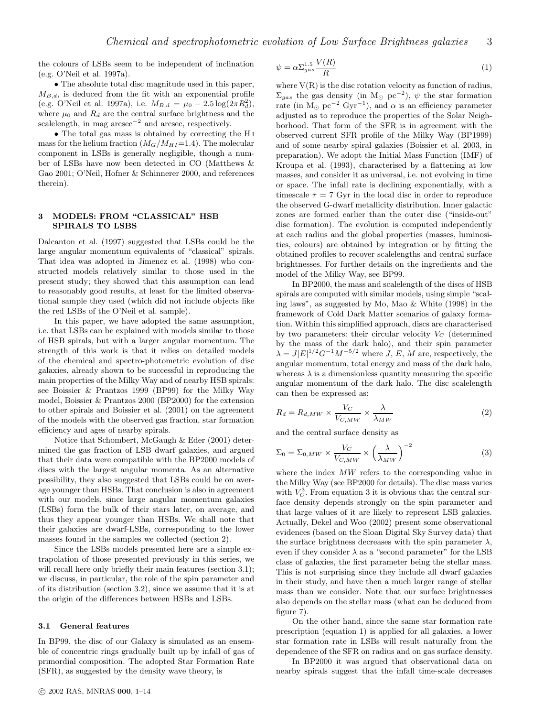the colours of LSBs seem to be independent of inclination (e.g. O'Neil et al. 1997a).

• The absolute total disc magnitude used in this paper,  $M_{B,d}$ , is deduced from the fit with an exponential profile (e.g. O'Neil et al. 1997a), i.e.  $M_{B,d} = \mu_0 - 2.5 \log(2\pi R_d^2)$ , where  $\mu_0$  and  $R_d$  are the central surface brightness and the scalelength, in mag arcsec<sup>−</sup><sup>2</sup> and arcsec, respectively.

• The total gas mass is obtained by correcting the H <sup>i</sup> mass for the helium fraction  $(M_G/M_{HI}=1.4)$ . The molecular component in LSBs is generally negligible, though a number of LSBs have now been detected in CO (Matthews & Gao 2001; O'Neil, Hofner & Schinnerer 2000, and references therein).

## 3 MODELS: FROM "CLASSICAL" HSB SPIRALS TO LSBS

Dalcanton et al. (1997) suggested that LSBs could be the large angular momentum equivalents of "classical" spirals. That idea was adopted in Jimenez et al. (1998) who constructed models relatively similar to those used in the present study; they showed that this assumption can lead to reasonably good results, at least for the limited observational sample they used (which did not include objects like the red LSBs of the O'Neil et al. sample).

In this paper, we have adopted the same assumption, i.e. that LSBs can be explained with models similar to those of HSB spirals, but with a larger angular momentum. The strength of this work is that it relies on detailed models of the chemical and spectro-photometric evolution of disc galaxies, already shown to be successful in reproducing the main properties of the Milky Way and of nearby HSB spirals: see Boissier & Prantzos 1999 (BP99) for the Milky Way model, Boissier & Prantzos 2000 (BP2000) for the extension to other spirals and Boissier et al. (2001) on the agreement of the models with the observed gas fraction, star formation efficiency and ages of nearby spirals.

Notice that Schombert, McGaugh & Eder (2001) determined the gas fraction of LSB dwarf galaxies, and argued that their data were compatible with the BP2000 models of discs with the largest angular momenta. As an alternative possibility, they also suggested that LSBs could be on average younger than HSBs. That conclusion is also in agreement with our models, since large angular momentum galaxies (LSBs) form the bulk of their stars later, on average, and thus they appear younger than HSBs. We shall note that their galaxies are dwarf-LSBs, corresponding to the lower masses found in the samples we collected (section 2).

Since the LSBs models presented here are a simple extrapolation of those presented previously in this series, we will recall here only briefly their main features (section 3.1); we discuss, in particular, the role of the spin parameter and of its distribution (section 3.2), since we assume that it is at the origin of the differences between HSBs and LSBs.

## 3.1 General features

In BP99, the disc of our Galaxy is simulated as an ensemble of concentric rings gradually built up by infall of gas of primordial composition. The adopted Star Formation Rate (SFR), as suggested by the density wave theory, is

$$
\psi = \alpha \Sigma_{gas}^{1.5} \frac{V(R)}{R} \tag{1}
$$

where  $V(R)$  is the disc rotation velocity as function of radius,  $\Sigma_{gas}$  the gas density (in M<sub>☉</sub> pc<sup>-2</sup>),  $\psi$  the star formation rate (in  $\overline{M_{\odot}}$  pc<sup>-2</sup> Gyr<sup>-1</sup>), and  $\alpha$  is an efficiency parameter adjusted as to reproduce the properties of the Solar Neighborhood. That form of the SFR is in agreement with the observed current SFR profile of the Milky Way (BP1999) and of some nearby spiral galaxies (Boissier et al. 2003, in preparation). We adopt the Initial Mass Function (IMF) of Kroupa et al. (1993), characterised by a flattening at low masses, and consider it as universal, i.e. not evolving in time or space. The infall rate is declining exponentially, with a timescale  $\tau = 7$  Gyr in the local disc in order to reproduce the observed G-dwarf metallicity distribution. Inner galactic zones are formed earlier than the outer disc ("inside-out" disc formation). The evolution is computed independently at each radius and the global properties (masses, luminosities, colours) are obtained by integration or by fitting the obtained profiles to recover scalelengths and central surface brightnesses. For further details on the ingredients and the model of the Milky Way, see BP99.

In BP2000, the mass and scalelength of the discs of HSB spirals are computed with similar models, using simple "scaling laws", as suggested by Mo, Mao & White (1998) in the framework of Cold Dark Matter scenarios of galaxy formation. Within this simplified approach, discs are characterised by two parameters: their circular velocity  $V_C$  (determined by the mass of the dark halo), and their spin parameter  $\lambda = J|E|^{1/2}G^{-1}M^{-5/2}$  where  $J, E, M$  are, respectively, the angular momentum, total energy and mass of the dark halo, whereas  $\lambda$  is a dimensionless quantity measuring the specific angular momentum of the dark halo. The disc scalelength can then be expressed as:

$$
R_d = R_{d,MW} \times \frac{V_C}{V_{C,MW}} \times \frac{\lambda}{\lambda_{MW}}
$$
 (2)

and the central surface density as

$$
\Sigma_0 = \Sigma_{0,MW} \times \frac{V_C}{V_{C,MW}} \times \left(\frac{\lambda}{\lambda_{MW}}\right)^{-2}
$$
 (3)

where the index MW refers to the corresponding value in the Milky Way (see BP2000 for details). The disc mass varies with  $V_C^3$ . From equation 3 it is obvious that the central surface density depends strongly on the spin parameter and that large values of it are likely to represent LSB galaxies. Actually, Dekel and Woo (2002) present some observational evidences (based on the Sloan Digital Sky Survey data) that the surface brightness decreases with the spin parameter  $\lambda$ , even if they consider  $\lambda$  as a "second parameter" for the LSB class of galaxies, the first parameter being the stellar mass. This is not surprising since they include all dwarf galaxies in their study, and have then a much larger range of stellar mass than we consider. Note that our surface brightnesses also depends on the stellar mass (what can be deduced from figure 7).

On the other hand, since the same star formation rate prescription (equation 1) is applied for all galaxies, a lower star formation rate in LSBs will result naturally from the dependence of the SFR on radius and on gas surface density.

In BP2000 it was argued that observational data on nearby spirals suggest that the infall time-scale decreases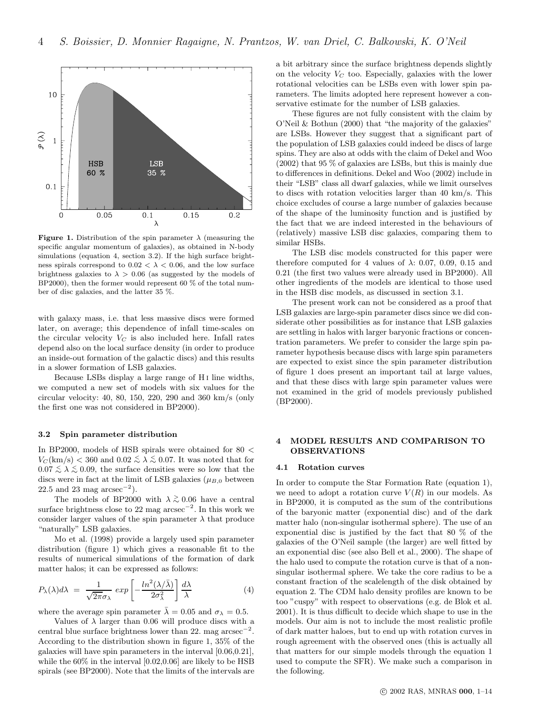

**Figure 1.** Distribution of the spin parameter  $\lambda$  (measuring the specific angular momentum of galaxies), as obtained in N-body simulations (equation 4, section 3.2). If the high surface brightness spirals correspond to  $0.02 < \lambda < 0.06$ , and the low surface brightness galaxies to  $\lambda > 0.06$  (as suggested by the models of BP2000), then the former would represent 60  $\%$  of the total number of disc galaxies, and the latter 35 %.

with galaxy mass, i.e. that less massive discs were formed later, on average; this dependence of infall time-scales on the circular velocity  $V_C$  is also included here. Infall rates depend also on the local surface density (in order to produce an inside-out formation of the galactic discs) and this results in a slower formation of LSB galaxies.

Because LSBs display a large range of H<sub>I</sub> line widths, we computed a new set of models with six values for the circular velocity: 40, 80, 150, 220, 290 and 360 km/s (only the first one was not considered in BP2000).

## 3.2 Spin parameter distribution

In BP2000, models of HSB spirals were obtained for  $80 <$  $V_C(\text{km/s}) < 360$  and  $0.02 \leq \lambda \leq 0.07$ . It was noted that for 0.07  $\leq \lambda \leq$  0.09, the surface densities were so low that the discs were in fact at the limit of LSB galaxies ( $\mu_{B,0}$  between  $22.5$  and  $23 \text{ mag arcsec}^{-2}$ ).

The models of BP2000 with  $\lambda \gtrsim 0.06$  have a central surface brightness close to 22 mag  $\arccos^{-2}$ . In this work we consider larger values of the spin parameter  $\lambda$  that produce "naturally" LSB galaxies.

Mo et al. (1998) provide a largely used spin parameter distribution (figure 1) which gives a reasonable fit to the results of numerical simulations of the formation of dark matter halos; it can be expressed as follows:

$$
P_{\lambda}(\lambda)d\lambda = \frac{1}{\sqrt{2\pi}\sigma_{\lambda}} \exp\left[-\frac{\ln^2(\lambda/\bar{\lambda})}{2\sigma_{\lambda}^2}\right] \frac{d\lambda}{\lambda}
$$
(4)

where the average spin parameter  $\bar{\lambda} = 0.05$  and  $\sigma_{\lambda} = 0.5$ .

Values of  $\lambda$  larger than 0.06 will produce discs with a central blue surface brightness lower than 22. mag arcsec<sup>−</sup><sup>2</sup> . According to the distribution shown in figure 1, 35% of the galaxies will have spin parameters in the interval [0.06,0.21], while the 60% in the interval [0.02,0.06] are likely to be HSB spirals (see BP2000). Note that the limits of the intervals are

a bit arbitrary since the surface brightness depends slightly on the velocity  $V_C$  too. Especially, galaxies with the lower rotational velocities can be LSBs even with lower spin parameters. The limits adopted here represent however a conservative estimate for the number of LSB galaxies.

These figures are not fully consistent with the claim by O'Neil & Bothun (2000) that "the majority of the galaxies" are LSBs. However they suggest that a significant part of the population of LSB galaxies could indeed be discs of large spins. They are also at odds with the claim of Dekel and Woo (2002) that 95 % of galaxies are LSBs, but this is mainly due to differences in definitions. Dekel and Woo (2002) include in their "LSB" class all dwarf galaxies, while we limit ourselves to discs with rotation velocities larger than 40 km/s. This choice excludes of course a large number of galaxies because of the shape of the luminosity function and is justified by the fact that we are indeed interested in the behaviours of (relatively) massive LSB disc galaxies, comparing them to similar HSBs.

The LSB disc models constructed for this paper were therefore computed for 4 values of  $\lambda$ : 0.07, 0.09, 0.15 and 0.21 (the first two values were already used in BP2000). All other ingredients of the models are identical to those used in the HSB disc models, as discussed in section 3.1.

The present work can not be considered as a proof that LSB galaxies are large-spin parameter discs since we did considerate other possibilities as for instance that LSB galaxies are settling in halos with larger baryonic fractions or concentration parameters. We prefer to consider the large spin parameter hypothesis because discs with large spin parameters are expected to exist since the spin parameter distribution of figure 1 does present an important tail at large values, and that these discs with large spin parameter values were not examined in the grid of models previously published (BP2000).

## 4 MODEL RESULTS AND COMPARISON TO OBSERVATIONS

### 4.1 Rotation curves

In order to compute the Star Formation Rate (equation 1), we need to adopt a rotation curve  $V(R)$  in our models. As in BP2000, it is computed as the sum of the contributions of the baryonic matter (exponential disc) and of the dark matter halo (non-singular isothermal sphere). The use of an exponential disc is justified by the fact that 80 % of the galaxies of the O'Neil sample (the larger) are well fitted by an exponential disc (see also Bell et al., 2000). The shape of the halo used to compute the rotation curve is that of a nonsingular isothermal sphere. We take the core radius to be a constant fraction of the scalelength of the disk obtained by equation 2. The CDM halo density profiles are known to be too "cuspy" with respect to observations (e.g. de Blok et al. 2001). It is thus difficult to decide which shape to use in the models. Our aim is not to include the most realistic profile of dark matter haloes, but to end up with rotation curves in rough agreement with the observed ones (this is actually all that matters for our simple models through the equation 1 used to compute the SFR). We make such a comparison in the following.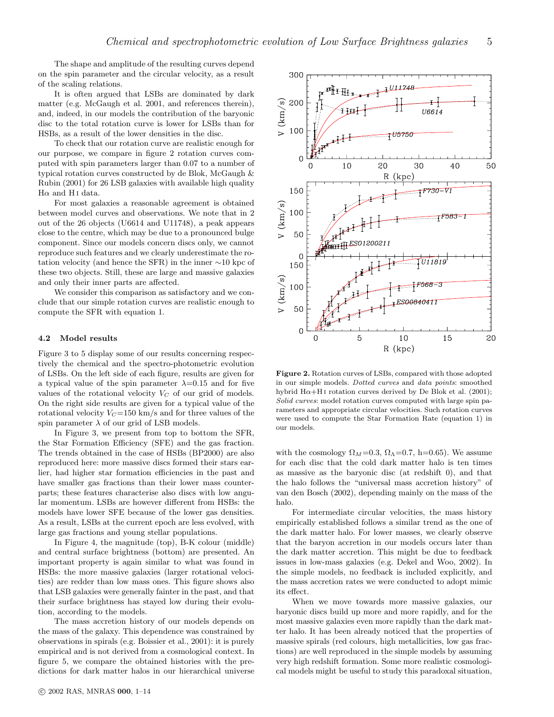The shape and amplitude of the resulting curves depend on the spin parameter and the circular velocity, as a result of the scaling relations.

It is often argued that LSBs are dominated by dark matter (e.g. McGaugh et al. 2001, and references therein), and, indeed, in our models the contribution of the baryonic disc to the total rotation curve is lower for LSBs than for HSBs, as a result of the lower densities in the disc.

To check that our rotation curve are realistic enough for our purpose, we compare in figure 2 rotation curves computed with spin parameters larger than 0.07 to a number of typical rotation curves constructed by de Blok, McGaugh & Rubin (2001) for 26 LSB galaxies with available high quality  $H\alpha$  and H<sub>I</sub> data.

For most galaxies a reasonable agreement is obtained between model curves and observations. We note that in 2 out of the 26 objects (U6614 and U11748), a peak appears close to the centre, which may be due to a pronounced bulge component. Since our models concern discs only, we cannot reproduce such features and we clearly underestimate the rotation velocity (and hence the SFR) in the inner ∼10 kpc of these two objects. Still, these are large and massive galaxies and only their inner parts are affected.

We consider this comparison as satisfactory and we conclude that our simple rotation curves are realistic enough to compute the SFR with equation 1.

## 4.2 Model results

Figure 3 to 5 display some of our results concerning respectively the chemical and the spectro-photometric evolution of LSBs. On the left side of each figure, results are given for a typical value of the spin parameter  $\lambda=0.15$  and for five values of the rotational velocity  $V_C$  of our grid of models. On the right side results are given for a typical value of the rotational velocity  $V_C$ =150 km/s and for three values of the spin parameter  $\lambda$  of our grid of LSB models.

In Figure 3, we present from top to bottom the SFR, the Star Formation Efficiency (SFE) and the gas fraction. The trends obtained in the case of HSBs (BP2000) are also reproduced here: more massive discs formed their stars earlier, had higher star formation efficiencies in the past and have smaller gas fractions than their lower mass counterparts; these features characterise also discs with low angular momentum. LSBs are however different from HSBs: the models have lower SFE because of the lower gas densities. As a result, LSBs at the current epoch are less evolved, with large gas fractions and young stellar populations.

In Figure 4, the magnitude (top), B-K colour (middle) and central surface brightness (bottom) are presented. An important property is again similar to what was found in HSBs: the more massive galaxies (larger rotational velocities) are redder than low mass ones. This figure shows also that LSB galaxies were generally fainter in the past, and that their surface brightness has stayed low during their evolution, according to the models.

The mass accretion history of our models depends on the mass of the galaxy. This dependence was constrained by observations in spirals (e.g. Boissier et al., 2001): it is purely empirical and is not derived from a cosmological context. In figure 5, we compare the obtained histories with the predictions for dark matter halos in our hierarchical universe



Figure 2. Rotation curves of LSBs, compared with those adopted in our simple models. Dotted curves and data points: smoothed hybrid  $H\alpha+H\beta$  rotation curves derived by De Blok et al. (2001); Solid curves: model rotation curves computed with large spin parameters and appropriate circular velocities. Such rotation curves were used to compute the Star Formation Rate (equation 1) in our models.

with the cosmology  $\Omega_M = 0.3$ ,  $\Omega_{\Lambda} = 0.7$ , h=0.65). We assume for each disc that the cold dark matter halo is ten times as massive as the baryonic disc (at redshift 0), and that the halo follows the "universal mass accretion history" of van den Bosch (2002), depending mainly on the mass of the halo.

For intermediate circular velocities, the mass history empirically established follows a similar trend as the one of the dark matter halo. For lower masses, we clearly observe that the baryon accretion in our models occurs later than the dark matter accretion. This might be due to feedback issues in low-mass galaxies (e.g. Dekel and Woo, 2002). In the simple models, no feedback is included explicitly, and the mass accretion rates we were conducted to adopt mimic its effect.

When we move towards more massive galaxies, our baryonic discs build up more and more rapidly, and for the most massive galaxies even more rapidly than the dark matter halo. It has been already noticed that the properties of massive spirals (red colours, high metallicities, low gas fractions) are well reproduced in the simple models by assuming very high redshift formation. Some more realistic cosmological models might be useful to study this paradoxal situation,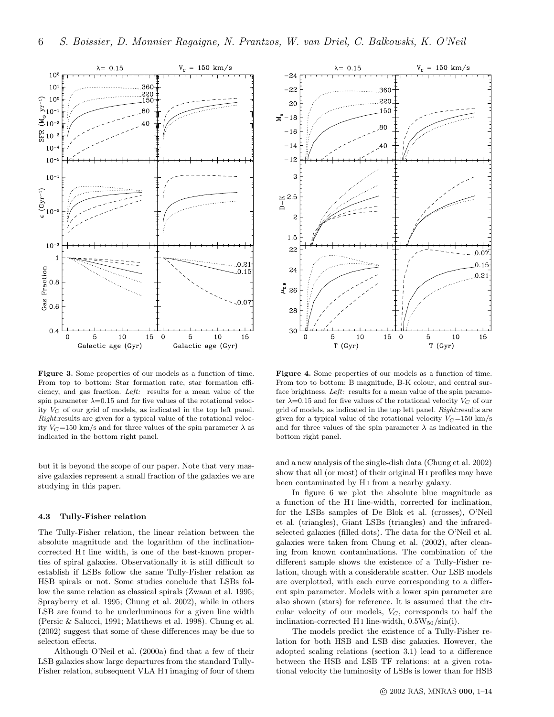

Figure 3. Some properties of our models as a function of time. From top to bottom: Star formation rate, star formation efficiency, and gas fraction. Left: results for a mean value of the spin parameter  $\lambda$ =0.15 and for five values of the rotational velocity  $V_C$  of our grid of models, as indicated in the top left panel. Right:results are given for a typical value of the rotational velocity  $V_C$ =150 km/s and for three values of the spin parameter  $\lambda$  as indicated in the bottom right panel.

but it is beyond the scope of our paper. Note that very massive galaxies represent a small fraction of the galaxies we are studying in this paper.

## 4.3 Tully-Fisher relation

The Tully-Fisher relation, the linear relation between the absolute magnitude and the logarithm of the inclinationcorrected H i line width, is one of the best-known properties of spiral galaxies. Observationally it is still difficult to establish if LSBs follow the same Tully-Fisher relation as HSB spirals or not. Some studies conclude that LSBs follow the same relation as classical spirals (Zwaan et al. 1995; Sprayberry et al. 1995; Chung et al. 2002), while in others LSB are found to be underluminous for a given line width (Persic & Salucci, 1991; Matthews et al. 1998). Chung et al. (2002) suggest that some of these differences may be due to selection effects.

Although O'Neil et al. (2000a) find that a few of their LSB galaxies show large departures from the standard Tully-Fisher relation, subsequent VLA H i imaging of four of them



Figure 4. Some properties of our models as a function of time. From top to bottom: B magnitude, B-K colour, and central surface brightness. Left: results for a mean value of the spin parameter  $\lambda$ =0.15 and for five values of the rotational velocity  $V_C$  of our grid of models, as indicated in the top left panel. Right:results are given for a typical value of the rotational velocity  $V_C=150 \text{ km/s}$ and for three values of the spin parameter  $\lambda$  as indicated in the bottom right panel.

and a new analysis of the single-dish data (Chung et al. 2002) show that all (or most) of their original H i profiles may have been contaminated by H<sub>I</sub> from a nearby galaxy.

In figure 6 we plot the absolute blue magnitude as a function of the H<sub>I</sub> line-width, corrected for inclination, for the LSBs samples of De Blok et al. (crosses), O'Neil et al. (triangles), Giant LSBs (triangles) and the infraredselected galaxies (filled dots). The data for the O'Neil et al. galaxies were taken from Chung et al. (2002), after cleaning from known contaminations. The combination of the different sample shows the existence of a Tully-Fisher relation, though with a considerable scatter. Our LSB models are overplotted, with each curve corresponding to a different spin parameter. Models with a lower spin parameter are also shown (stars) for reference. It is assumed that the circular velocity of our models,  $V_C$ , corresponds to half the inclination-corrected H<sub>I</sub> line-width,  $0.5W_{50}/\sin(i)$ .

The models predict the existence of a Tully-Fisher relation for both HSB and LSB disc galaxies. However, the adopted scaling relations (section 3.1) lead to a difference between the HSB and LSB TF relations: at a given rotational velocity the luminosity of LSBs is lower than for HSB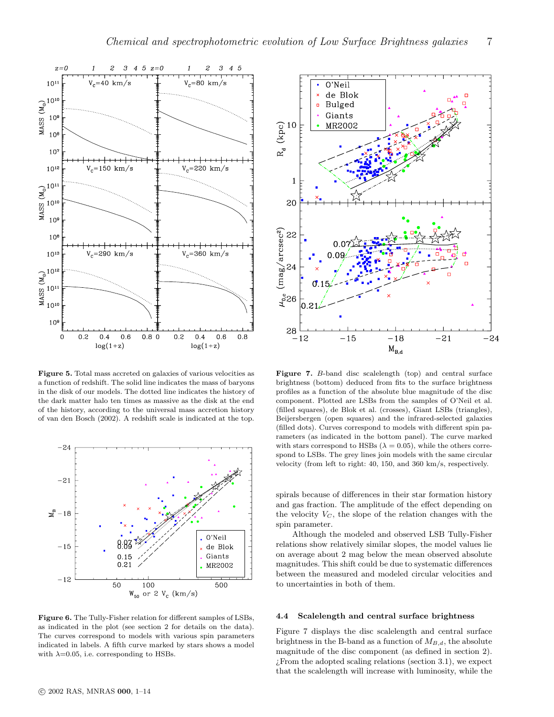

Figure 5. Total mass accreted on galaxies of various velocities as a function of redshift. The solid line indicates the mass of baryons in the disk of our models. The dotted line indicates the history of the dark matter halo ten times as massive as the disk at the end of the history, according to the universal mass accretion history of van den Bosch (2002). A redshift scale is indicated at the top.



Figure 6. The Tully-Fisher relation for different samples of LSBs, as indicated in the plot (see section 2 for details on the data). The curves correspond to models with various spin parameters indicated in labels. A fifth curve marked by stars shows a model with  $\lambda$ =0.05, i.e. corresponding to HSBs.



Figure 7. B-band disc scalelength (top) and central surface brightness (bottom) deduced from fits to the surface brightness profiles as a function of the absolute blue magnitude of the disc component. Plotted are LSBs from the samples of O'Neil et al. (filled squares), de Blok et al. (crosses), Giant LSBs (triangles), Beijersbergen (open squares) and the infrared-selected galaxies (filled dots). Curves correspond to models with different spin parameters (as indicated in the bottom panel). The curve marked with stars correspond to HSBs ( $\lambda = 0.05$ ), while the others correspond to LSBs. The grey lines join models with the same circular velocity (from left to right: 40, 150, and 360 km/s, respectively.

spirals because of differences in their star formation history and gas fraction. The amplitude of the effect depending on the velocity  $V_C$ , the slope of the relation changes with the spin parameter.

Although the modeled and observed LSB Tully-Fisher relations show relatively similar slopes, the model values lie on average about 2 mag below the mean observed absolute magnitudes. This shift could be due to systematic differences between the measured and modeled circular velocities and to uncertainties in both of them.

## 4.4 Scalelength and central surface brightness

Figure 7 displays the disc scalelength and central surface brightness in the B-band as a function of  $M_{B,d}$ , the absolute magnitude of the disc component (as defined in section 2).  $i$ From the adopted scaling relations (section 3.1), we expect that the scalelength will increase with luminosity, while the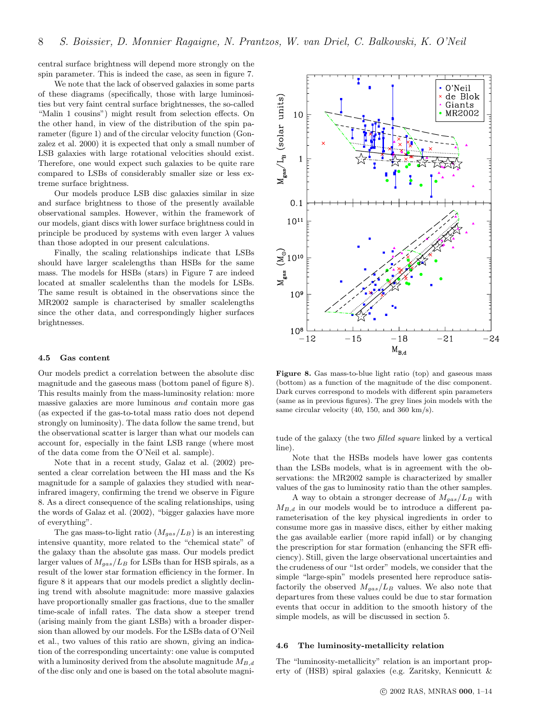central surface brightness will depend more strongly on the spin parameter. This is indeed the case, as seen in figure 7.

We note that the lack of observed galaxies in some parts of these diagrams (specifically, those with large luminosities but very faint central surface brightnesses, the so-called "Malin 1 cousins") might result from selection effects. On the other hand, in view of the distribution of the spin parameter (figure 1) and of the circular velocity function (Gonzalez et al. 2000) it is expected that only a small number of LSB galaxies with large rotational velocities should exist. Therefore, one would expect such galaxies to be quite rare compared to LSBs of considerably smaller size or less extreme surface brightness.

Our models produce LSB disc galaxies similar in size and surface brightness to those of the presently available observational samples. However, within the framework of our models, giant discs with lower surface brightness could in principle be produced by systems with even larger  $\lambda$  values than those adopted in our present calculations.

Finally, the scaling relationships indicate that LSBs should have larger scalelengths than HSBs for the same mass. The models for HSBs (stars) in Figure 7 are indeed located at smaller scalelenths than the models for LSBs. The same result is obtained in the observations since the MR2002 sample is characterised by smaller scalelengths since the other data, and correspondingly higher surfaces brightnesses.

## 4.5 Gas content

Our models predict a correlation between the absolute disc magnitude and the gaseous mass (bottom panel of figure 8). This results mainly from the mass-luminosity relation: more massive galaxies are more luminous and contain more gas (as expected if the gas-to-total mass ratio does not depend strongly on luminosity). The data follow the same trend, but the observational scatter is larger than what our models can account for, especially in the faint LSB range (where most of the data come from the O'Neil et al. sample).

Note that in a recent study, Galaz et al. (2002) presented a clear correlation between the HI mass and the Ks magnitude for a sample of galaxies they studied with nearinfrared imagery, confirming the trend we observe in Figure 8. As a direct consequence of the scaling relationships, using the words of Galaz et al. (2002), "bigger galaxies have more of everything".

The gas mass-to-light ratio  $(M_{gas}/L_B)$  is an interesting intensive quantity, more related to the "chemical state" of the galaxy than the absolute gas mass. Our models predict larger values of  $M_{gas}/L_B$  for LSBs than for HSB spirals, as a result of the lower star formation efficiency in the former. In figure 8 it appears that our models predict a slightly declining trend with absolute magnitude: more massive galaxies have proportionally smaller gas fractions, due to the smaller time-scale of infall rates. The data show a steeper trend (arising mainly from the giant LSBs) with a broader dispersion than allowed by our models. For the LSBs data of O'Neil et al., two values of this ratio are shown, giving an indication of the corresponding uncertainty: one value is computed with a luminosity derived from the absolute magnitude  $M_{B,d}$ of the disc only and one is based on the total absolute magni-



Figure 8. Gas mass-to-blue light ratio (top) and gaseous mass (bottom) as a function of the magnitude of the disc component. Dark curves correspond to models with different spin parameters (same as in previous figures). The grey lines join models with the same circular velocity (40, 150, and 360 km/s).

tude of the galaxy (the two *filled square* linked by a vertical line.

Note that the HSBs models have lower gas contents than the LSBs models, what is in agreement with the observations: the MR2002 sample is characterized by smaller values of the gas to luminosity ratio than the other samples.

A way to obtain a stronger decrease of  $M_{gas}/L_B$  with  $M_{B,d}$  in our models would be to introduce a different parameterisation of the key physical ingredients in order to consume more gas in massive discs, either by either making the gas available earlier (more rapid infall) or by changing the prescription for star formation (enhancing the SFR efficiency). Still, given the large observational uncertainties and the crudeness of our "1st order" models, we consider that the simple "large-spin" models presented here reproduce satisfactorily the observed  $M_{gas}/L_B$  values. We also note that departures from these values could be due to star formation events that occur in addition to the smooth history of the simple models, as will be discussed in section 5.

#### 4.6 The luminosity-metallicity relation

The "luminosity-metallicity" relation is an important property of (HSB) spiral galaxies (e.g. Zaritsky, Kennicutt &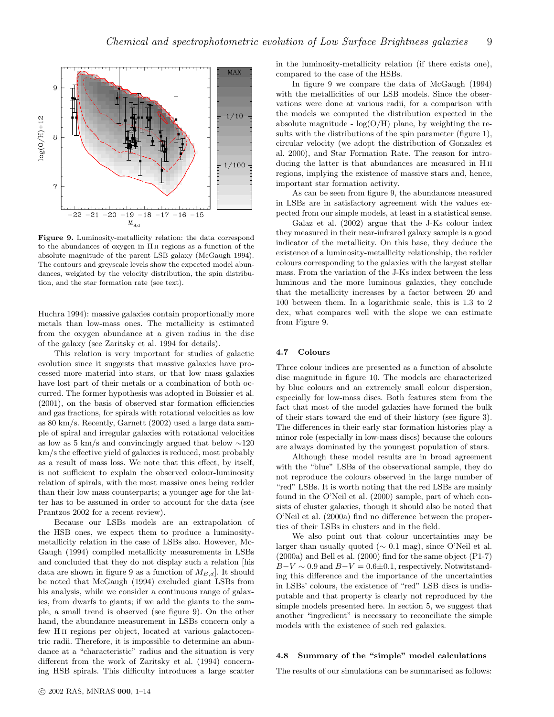

Figure 9. Luminosity-metallicity relation: the data correspond to the abundances of oxygen in H ii regions as a function of the absolute magnitude of the parent LSB galaxy (McGaugh 1994). The contours and greyscale levels show the expected model abundances, weighted by the velocity distribution, the spin distribution, and the star formation rate (see text).

Huchra 1994): massive galaxies contain proportionally more metals than low-mass ones. The metallicity is estimated from the oxygen abundance at a given radius in the disc of the galaxy (see Zaritsky et al. 1994 for details).

This relation is very important for studies of galactic evolution since it suggests that massive galaxies have processed more material into stars, or that low mass galaxies have lost part of their metals or a combination of both occurred. The former hypothesis was adopted in Boissier et al. (2001), on the basis of observed star formation efficiencies and gas fractions, for spirals with rotational velocities as low as 80 km/s. Recently, Garnett (2002) used a large data sample of spiral and irregular galaxies with rotational velocities as low as 5 km/s and convincingly argued that below ∼120 km/s the effective yield of galaxies is reduced, most probably as a result of mass loss. We note that this effect, by itself, is not sufficient to explain the observed colour-luminosity relation of spirals, with the most massive ones being redder than their low mass counterparts; a younger age for the latter has to be assumed in order to account for the data (see Prantzos 2002 for a recent review).

Because our LSBs models are an extrapolation of the HSB ones, we expect them to produce a luminositymetallicity relation in the case of LSBs also. However, Mc-Gaugh (1994) compiled metallicity measurements in LSBs and concluded that they do not display such a relation [his data are shown in figure 9 as a function of  $M_{B,d}$ . It should be noted that McGaugh (1994) excluded giant LSBs from his analysis, while we consider a continuous range of galaxies, from dwarfs to giants; if we add the giants to the sample, a small trend is observed (see figure 9). On the other hand, the abundance measurement in LSBs concern only a few H ii regions per object, located at various galactocentric radii. Therefore, it is impossible to determine an abundance at a "characteristic" radius and the situation is very different from the work of Zaritsky et al. (1994) concerning HSB spirals. This difficulty introduces a large scatter in the luminosity-metallicity relation (if there exists one), compared to the case of the HSBs.

In figure 9 we compare the data of McGaugh (1994) with the metallicities of our LSB models. Since the observations were done at various radii, for a comparison with the models we computed the distribution expected in the absolute magnitude -  $log(O/H)$  plane, by weighting the results with the distributions of the spin parameter (figure 1), circular velocity (we adopt the distribution of Gonzalez et al. 2000), and Star Formation Rate. The reason for introducing the latter is that abundances are measured in H ii regions, implying the existence of massive stars and, hence, important star formation activity.

As can be seen from figure 9, the abundances measured in LSBs are in satisfactory agreement with the values expected from our simple models, at least in a statistical sense.

Galaz et al. (2002) argue that the J-Ks colour index they measured in their near-infrared galaxy sample is a good indicator of the metallicity. On this base, they deduce the existence of a luminosity-metallicity relationship, the redder colours corresponding to the galaxies with the largest stellar mass. From the variation of the J-Ks index between the less luminous and the more luminous galaxies, they conclude that the metallicity increases by a factor between 20 and 100 between them. In a logarithmic scale, this is 1.3 to 2 dex, what compares well with the slope we can estimate from Figure 9.

#### 4.7 Colours

Three colour indices are presented as a function of absolute disc magnitude in figure 10. The models are characterized by blue colours and an extremely small colour dispersion, especially for low-mass discs. Both features stem from the fact that most of the model galaxies have formed the bulk of their stars toward the end of their history (see figure 3). The differences in their early star formation histories play a minor role (especially in low-mass discs) because the colours are always dominated by the youngest population of stars.

Although these model results are in broad agreement with the "blue" LSBs of the observational sample, they do not reproduce the colours observed in the large number of "red" LSBs. It is worth noting that the red LSBs are mainly found in the O'Neil et al. (2000) sample, part of which consists of cluster galaxies, though it should also be noted that O'Neil et al. (2000a) find no difference between the properties of their LSBs in clusters and in the field.

We also point out that colour uncertainties may be larger than usually quoted ( $\sim$  0.1 mag), since O'Neil et al. (2000a) and Bell et al. (2000) find for the same object (P1-7)  $B-V \sim 0.9$  and  $B-V = 0.6 \pm 0.1$ , respectively. Notwitstanding this difference and the importance of the uncertainties in LSBs' colours, the existence of "red" LSB discs is undisputable and that property is clearly not reproduced by the simple models presented here. In section 5, we suggest that another "ingredient" is necessary to reconciliate the simple models with the existence of such red galaxies.

## 4.8 Summary of the "simple" model calculations

The results of our simulations can be summarised as follows: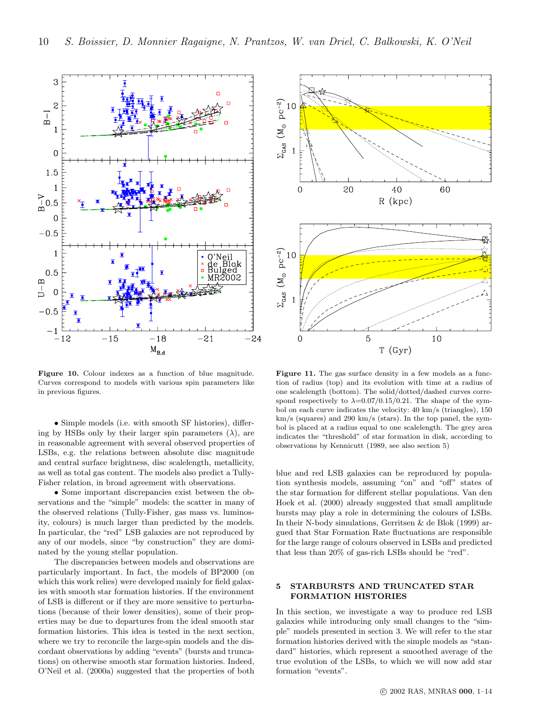

Figure 10. Colour indexes as a function of blue magnitude. Curves correspond to models with various spin parameters like in previous figures.

• Simple models (i.e. with smooth SF histories), differing by HSBs only by their larger spin parameters  $(\lambda)$ , are in reasonable agreement with several observed properties of LSBs, e.g. the relations between absolute disc magnitude and central surface brightness, disc scalelength, metallicity, as well as total gas content. The models also predict a Tully-Fisher relation, in broad agreement with observations.

• Some important discrepancies exist between the observations and the "simple" models: the scatter in many of the observed relations (Tully-Fisher, gas mass vs. luminosity, colours) is much larger than predicted by the models. In particular, the "red" LSB galaxies are not reproduced by any of our models, since "by construction" they are dominated by the young stellar population.

The discrepancies between models and observations are particularly important. In fact, the models of BP2000 (on which this work relies) were developed mainly for field galaxies with smooth star formation histories. If the environment of LSB is different or if they are more sensitive to perturbations (because of their lower densities), some of their properties may be due to departures from the ideal smooth star formation histories. This idea is tested in the next section, where we try to reconcile the large-spin models and the discordant observations by adding "events" (bursts and truncations) on otherwise smooth star formation histories. Indeed, O'Neil et al. (2000a) suggested that the properties of both



Figure 11. The gas surface density in a few models as a function of radius (top) and its evolution with time at a radius of one scalelength (bottom). The solid/dotted/dashed curves correspond respectively to  $\lambda = 0.07/0.15/0.21$ . The shape of the symbol on each curve indicates the velocity: 40 km/s (triangles), 150 km/s (squares) and 290 km/s (stars). In the top panel, the symbol is placed at a radius equal to one scalelength. The grey area indicates the "threshold" of star formation in disk, according to observations by Kennicutt (1989, see also section 5)

blue and red LSB galaxies can be reproduced by population synthesis models, assuming "on" and "off" states of the star formation for different stellar populations. Van den Hoek et al. (2000) already suggested that small amplitude bursts may play a role in determining the colours of LSBs. In their N-body simulations, Gerritsen & de Blok (1999) argued that Star Formation Rate fluctuations are responsible for the large range of colours observed in LSBs and predicted that less than 20% of gas-rich LSBs should be "red".

## 5 STARBURSTS AND TRUNCATED STAR FORMATION HISTORIES

In this section, we investigate a way to produce red LSB galaxies while introducing only small changes to the "simple" models presented in section 3. We will refer to the star formation histories derived with the simple models as "standard" histories, which represent a smoothed average of the true evolution of the LSBs, to which we will now add star formation "events".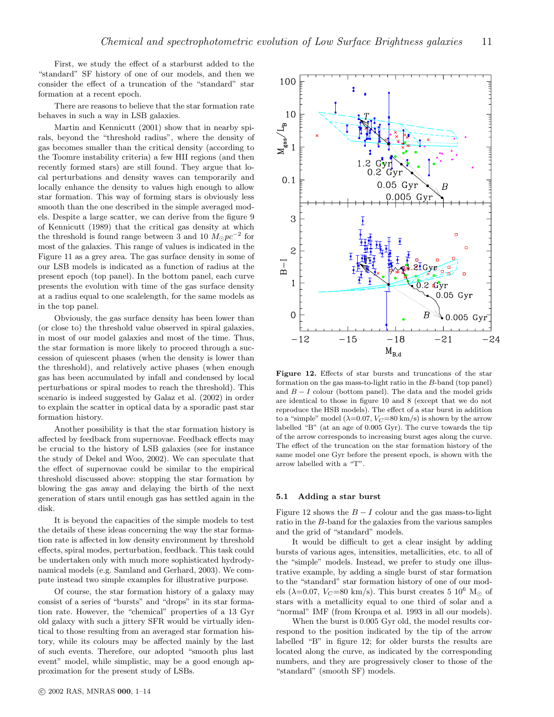First, we study the effect of a starburst added to the "standard" SF history of one of our models, and then we consider the effect of a truncation of the "standard" star formation at a recent epoch.

There are reasons to believe that the star formation rate behaves in such a way in LSB galaxies.

Martin and Kennicutt (2001) show that in nearby spirals, beyond the "threshold radius", where the density of gas becomes smaller than the critical density (according to the Toomre instability criteria) a few HII regions (and then recently formed stars) are still found. They argue that local perturbations and density waves can temporarily and locally enhance the density to values high enough to allow star formation. This way of forming stars is obviously less smooth than the one described in the simple averaged models. Despite a large scatter, we can derive from the figure 9 of Kennicutt (1989) that the critical gas density at which the threshold is found range between 3 and 10  $\dot{M}_{\odot}pc^{-2}$  for most of the galaxies. This range of values is indicated in the Figure 11 as a grey area. The gas surface density in some of our LSB models is indicated as a function of radius at the present epoch (top panel). In the bottom panel, each curve presents the evolution with time of the gas surface density at a radius equal to one scalelength, for the same models as in the top panel.

Obviously, the gas surface density has been lower than (or close to) the threshold value observed in spiral galaxies, in most of our model galaxies and most of the time. Thus, the star formation is more likely to proceed through a succession of quiescent phases (when the density is lower than the threshold), and relatively active phases (when enough gas has been accumulated by infall and condensed by local perturbations or spiral modes to reach the threshold). This scenario is indeed suggested by Galaz et al. (2002) in order to explain the scatter in optical data by a sporadic past star formation history.

Another possibility is that the star formation history is affected by feedback from supernovae. Feedback effects may be crucial to the history of LSB galaxies (see for instance the study of Dekel and Woo, 2002). We can speculate that the effect of supernovae could be similar to the empirical threshold discussed above: stopping the star formation by blowing the gas away and delaying the birth of the next generation of stars until enough gas has settled again in the disk.

It is beyond the capacities of the simple models to test the details of these ideas concerning the way the star formation rate is affected in low density environment by threshold effects, spiral modes, perturbation, feedback. This task could be undertaken only with much more sophisticated hydrodynamical models (e.g. Samland and Gerhard, 2003). We compute instead two simple examples for illustrative purpose.

Of course, the star formation history of a galaxy may consist of a series of "bursts" and "drops" in its star formation rate. However, the "chemical" properties of a 13 Gyr old galaxy with such a jittery SFR would be virtually identical to those resulting from an averaged star formation history, while its colours may be affected mainly by the last of such events. Therefore, our adopted "smooth plus last event" model, while simplistic, may be a good enough approximation for the present study of LSBs.



Figure 12. Effects of star bursts and truncations of the star formation on the gas mass-to-light ratio in the B-band (top panel) and  $B - I$  colour (bottom panel). The data and the model grids are identical to those in figure 10 and 8 (except that we do not reproduce the HSB models). The effect of a star burst in addition to a "simple" model ( $\lambda$ =0.07,  $V_C$ =80 km/s) is shown by the arrow labelled "B" (at an age of 0.005 Gyr). The curve towards the tip of the arrow corresponds to increasing burst ages along the curve. The effect of the truncation on the star formation history of the same model one Gyr before the present epoch, is shown with the arrow labelled with a "T".

#### 5.1 Adding a star burst

Figure 12 shows the  $B-I$  colour and the gas mass-to-light ratio in the B-band for the galaxies from the various samples and the grid of "standard" models.

It would be difficult to get a clear insight by adding bursts of various ages, intensities, metallicities, etc. to all of the "simple" models. Instead, we prefer to study one illustrative example, by adding a single burst of star formation to the "standard" star formation history of one of our models ( $\lambda$ =0.07,  $V_C$ =80 km/s). This burst creates 5 10<sup>6</sup> M<sub>o</sub> of stars with a metallicity equal to one third of solar and a "normal" IMF (from Kroupa et al. 1993 in all our models).

When the burst is 0.005 Gyr old, the model results correspond to the position indicated by the tip of the arrow labelled "B" in figure 12; for older bursts the results are located along the curve, as indicated by the corresponding numbers, and they are progressively closer to those of the "standard" (smooth SF) models.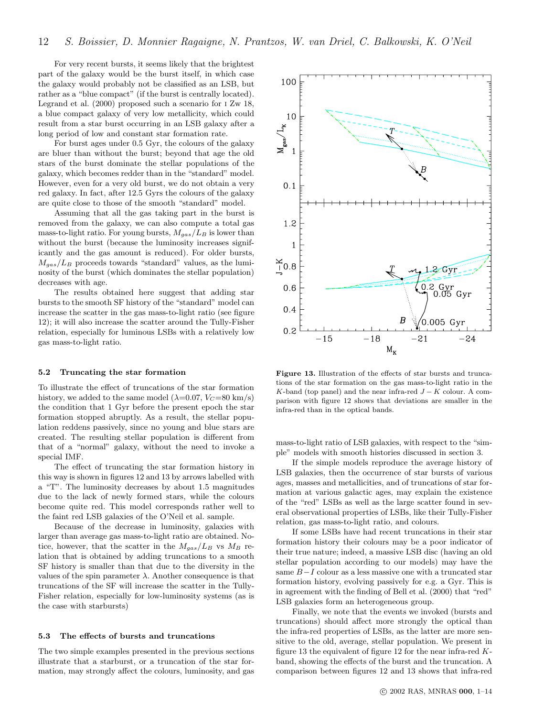For very recent bursts, it seems likely that the brightest part of the galaxy would be the burst itself, in which case the galaxy would probably not be classified as an LSB, but rather as a "blue compact" (if the burst is centrally located). Legrand et al. (2000) proposed such a scenario for i Zw 18, a blue compact galaxy of very low metallicity, which could result from a star burst occurring in an LSB galaxy after a long period of low and constant star formation rate.

For burst ages under 0.5 Gyr, the colours of the galaxy are bluer than without the burst; beyond that age the old stars of the burst dominate the stellar populations of the galaxy, which becomes redder than in the "standard" model. However, even for a very old burst, we do not obtain a very red galaxy. In fact, after 12.5 Gyrs the colours of the galaxy are quite close to those of the smooth "standard" model.

Assuming that all the gas taking part in the burst is removed from the galaxy, we can also compute a total gas mass-to-light ratio. For young bursts,  $M_{gas}/L_B$  is lower than without the burst (because the luminosity increases significantly and the gas amount is reduced). For older bursts,  $M_{gas}/L_B$  proceeds towards "standard" values, as the luminosity of the burst (which dominates the stellar population) decreases with age.

The results obtained here suggest that adding star bursts to the smooth SF history of the "standard" model can increase the scatter in the gas mass-to-light ratio (see figure 12); it will also increase the scatter around the Tully-Fisher relation, especially for luminous LSBs with a relatively low gas mass-to-light ratio.

#### 5.2 Truncating the star formation

To illustrate the effect of truncations of the star formation history, we added to the same model ( $\lambda$ =0.07,  $V_C$ =80 km/s) the condition that 1 Gyr before the present epoch the star formation stopped abruptly. As a result, the stellar population reddens passively, since no young and blue stars are created. The resulting stellar population is different from that of a "normal" galaxy, without the need to invoke a special IMF.

The effect of truncating the star formation history in this way is shown in figures 12 and 13 by arrows labelled with a "T". The luminosity decreases by about 1.5 magnitudes due to the lack of newly formed stars, while the colours become quite red. This model corresponds rather well to the faint red LSB galaxies of the O'Neil et al. sample.

Because of the decrease in luminosity, galaxies with larger than average gas mass-to-light ratio are obtained. Notice, however, that the scatter in the  $M_{gas}/L_B$  vs  $M_B$  relation that is obtained by adding truncations to a smooth SF history is smaller than that due to the diversity in the values of the spin parameter  $\lambda$ . Another consequence is that truncations of the SF will increase the scatter in the Tully-Fisher relation, especially for low-luminosity systems (as is the case with starbursts)

## 5.3 The effects of bursts and truncations

The two simple examples presented in the previous sections illustrate that a starburst, or a truncation of the star formation, may strongly affect the colours, luminosity, and gas



Figure 13. Illustration of the effects of star bursts and truncations of the star formation on the gas mass-to-light ratio in the K-band (top panel) and the near infra-red  $J - K$  colour. A comparison with figure 12 shows that deviations are smaller in the infra-red than in the optical bands.

mass-to-light ratio of LSB galaxies, with respect to the "simple" models with smooth histories discussed in section 3.

If the simple models reproduce the average history of LSB galaxies, then the occurrence of star bursts of various ages, masses and metallicities, and of truncations of star formation at various galactic ages, may explain the existence of the "red" LSBs as well as the large scatter found in several observational properties of LSBs, like their Tully-Fisher relation, gas mass-to-light ratio, and colours.

If some LSBs have had recent truncations in their star formation history their colours may be a poor indicator of their true nature; indeed, a massive LSB disc (having an old stellar population according to our models) may have the same  $B-I$  colour as a less massive one with a truncated star formation history, evolving passively for e.g. a Gyr. This is in agreement with the finding of Bell et al. (2000) that "red" LSB galaxies form an heterogeneous group.

Finally, we note that the events we invoked (bursts and truncations) should affect more strongly the optical than the infra-red properties of LSBs, as the latter are more sensitive to the old, average, stellar population. We present in figure 13 the equivalent of figure 12 for the near infra-red Kband, showing the effects of the burst and the truncation. A comparison between figures 12 and 13 shows that infra-red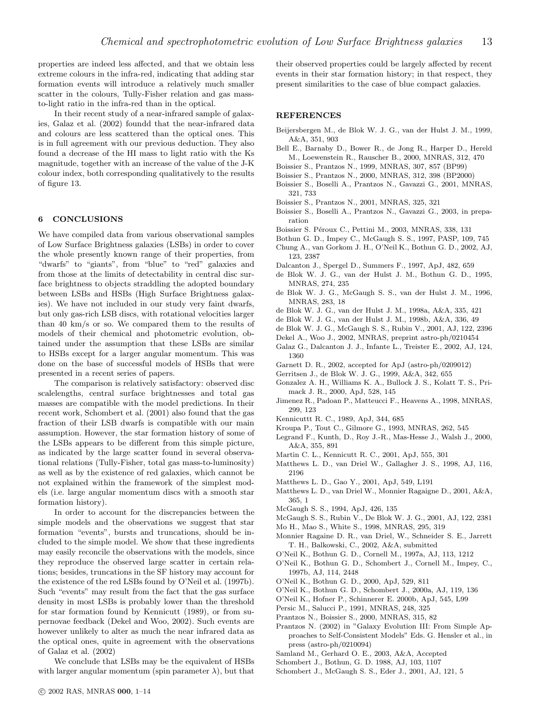properties are indeed less affected, and that we obtain less extreme colours in the infra-red, indicating that adding star formation events will introduce a relatively much smaller scatter in the colours, Tully-Fisher relation and gas massto-light ratio in the infra-red than in the optical.

In their recent study of a near-infrared sample of galaxies, Galaz et al. (2002) foundd that the near-infrared data and colours are less scattered than the optical ones. This is in full agreement with our previous deduction. They also found a decrease of the HI mass to light ratio with the Ks magnitude, together with an increase of the value of the J-K colour index, both corresponding qualitatively to the results of figure 13.

## 6 CONCLUSIONS

We have compiled data from various observational samples of Low Surface Brightness galaxies (LSBs) in order to cover the whole presently known range of their properties, from "dwarfs" to "giants", from "blue" to "red" galaxies and from those at the limits of detectability in central disc surface brightness to objects straddling the adopted boundary between LSBs and HSBs (High Surface Brightness galaxies). We have not included in our study very faint dwarfs, but only gas-rich LSB discs, with rotational velocities larger than 40 km/s or so. We compared them to the results of models of their chemical and photometric evolution, obtained under the assumption that these LSBs are similar to HSBs except for a larger angular momentum. This was done on the base of successful models of HSBs that were presented in a recent series of papers.

The comparison is relatively satisfactory: observed disc scalelengths, central surface brightnesses and total gas masses are compatible with the model predictions. In their recent work, Schombert et al. (2001) also found that the gas fraction of their LSB dwarfs is compatible with our main assumption. However, the star formation history of some of the LSBs appears to be different from this simple picture, as indicated by the large scatter found in several observational relations (Tully-Fisher, total gas mass-to-luminosity) as well as by the existence of red galaxies, which cannot be not explained within the framework of the simplest models (i.e. large angular momentum discs with a smooth star formation history).

In order to account for the discrepancies between the simple models and the observations we suggest that star formation "events", bursts and truncations, should be included to the simple model. We show that these ingredients may easily reconcile the observations with the models, since they reproduce the observed large scatter in certain relations; besides, truncations in the SF history may account for the existence of the red LSBs found by O'Neil et al. (1997b). Such "events" may result from the fact that the gas surface density in most LSBs is probably lower than the threshold for star formation found by Kennicutt (1989), or from supernovae feedback (Dekel and Woo, 2002). Such events are however unlikely to alter as much the near infrared data as the optical ones, quite in agreement with the observations of Galaz et al. (2002)

We conclude that LSBs may be the equivalent of HSBs with larger angular momentum (spin parameter  $\lambda$ ), but that their observed properties could be largely affected by recent events in their star formation history; in that respect, they present similarities to the case of blue compact galaxies.

## **REFERENCES**

- Beijersbergen M., de Blok W. J. G., van der Hulst J. M., 1999, A&A, 351, 903
- Bell E., Barnaby D., Bower R., de Jong R., Harper D., Hereld M., Loewenstein R., Rauscher B., 2000, MNRAS, 312, 470
- Boissier S., Prantzos N., 1999, MNRAS, 307, 857 (BP99)
- Boissier S., Prantzos N., 2000, MNRAS, 312, 398 (BP2000)
- Boissier S., Boselli A., Prantzos N., Gavazzi G., 2001, MNRAS, 321, 733
- Boissier S., Prantzos N., 2001, MNRAS, 325, 321
- Boissier S., Boselli A., Prantzos N., Gavazzi G., 2003, in preparation
- Boissier S. Péroux C., Pettini M., 2003, MNRAS, 338, 131
- Bothun G. D., Impey C., McGaugh S. S., 1997, PASP, 109, 745
- Chung A., van Gorkom J. H., O'Neil K., Bothun G. D., 2002, AJ, 123, 2387
- Dalcanton J., Spergel D., Summers F., 1997, ApJ, 482, 659
- de Blok W. J. G., van der Hulst J. M., Bothun G. D., 1995, MNRAS, 274, 235
- de Blok W. J. G., McGaugh S. S., van der Hulst J. M., 1996, MNRAS, 283, 18
- de Blok W. J. G., van der Hulst J. M., 1998a, A&A, 335, 421
- de Blok W. J. G., van der Hulst J. M., 1998b, A&A, 336, 49
- de Blok W. J. G., McGaugh S. S., Rubin V., 2001, AJ, 122, 2396
- Dekel A., Woo J., 2002, MNRAS, preprint astro-ph/0210454
- Galaz G., Dalcanton J. J., Infante L., Treister E., 2002, AJ, 124, 1360
- Garnett D. R., 2002, accepted for ApJ (astro-ph/0209012)
- Gerritsen J., de Blok W. J. G., 1999, A&A, 342, 655
- Gonzalez A. H., Williams K. A., Bullock J. S., Kolatt T. S., Primack J. R., 2000, ApJ, 528, 145
- Jimenez R., Padoan P., Matteucci F., Heavens A., 1998, MNRAS, 299, 123
- Kennicuttt R. C., 1989, ApJ, 344, 685
- Kroupa P., Tout C., Gilmore G., 1993, MNRAS, 262, 545
- Legrand F., Kunth, D., Roy J.-R., Mas-Hesse J., Walsh J., 2000, A&A, 355, 891
- Martin C. L., Kennicutt R. C., 2001, ApJ, 555, 301
- Matthews L. D., van Driel W., Gallagher J. S., 1998, AJ, 116, 2196
- Matthews L. D., Gao Y., 2001, ApJ, 549, L191
- Matthews L. D., van Driel W., Monnier Ragaigne D., 2001, A&A, 365, 1
- McGaugh S. S., 1994, ApJ, 426, 135
- McGaugh S. S., Rubin V., De Blok W. J. G., 2001, AJ, 122, 2381
- Mo H., Mao S., White S., 1998, MNRAS, 295, 319
- Monnier Ragaine D. R., van Driel, W., Schneider S. E., Jarrett T. H., Balkowski, C., 2002, A&A, submitted
- O'Neil K., Bothun G. D., Cornell M., 1997a, AJ, 113, 1212
- O'Neil K., Bothun G. D., Schombert J., Cornell M., Impey, C., 1997b, AJ, 114, 2448
- O'Neil K., Bothun G. D., 2000, ApJ, 529, 811
- O'Neil K., Bothun G. D., Schombert J., 2000a, AJ, 119, 136
- O'Neil K., Hofner P., Schinnerer E. 2000b, ApJ, 545, L99
- Persic M., Salucci P., 1991, MNRAS, 248, 325
- Prantzos N., Boissier S., 2000, MNRAS, 315, 82
- Prantzos N. (2002) in "Galaxy Evolution III: From Simple Approaches to Self-Consistent Models" Eds. G. Hensler et al., in press (astro-ph/0210094)
- Samland M., Gerhard O. E., 2003, A&A, Accepted
- Schombert J., Bothun, G. D. 1988, AJ, 103, 1107
- Schombert J., McGaugh S. S., Eder J., 2001, AJ, 121, 5